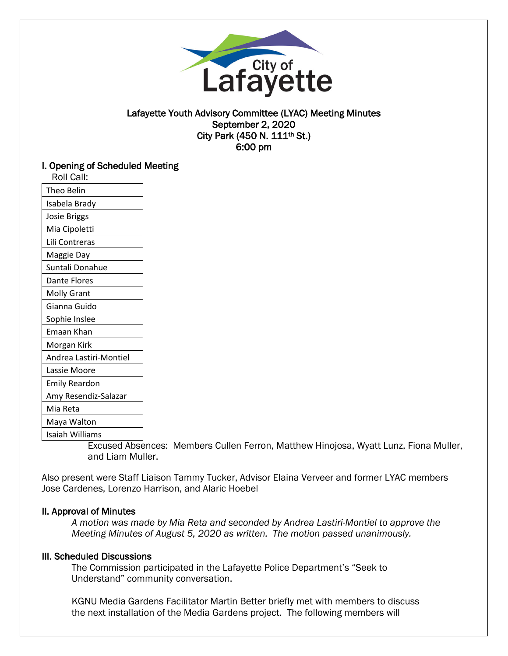

## Lafayette Youth Advisory Committee (LYAC) Meeting Minutes September 2, 2020 City Park (450 N. 111th St.) 6:00 pm

## I. Opening of Scheduled Meeting

| Roll Call: |
|------------|
|------------|

| Theo Belin             |
|------------------------|
| Isabela Brady          |
| <b>Josie Briggs</b>    |
| Mia Cipoletti          |
| Lili Contreras         |
| Maggie Day             |
| Suntali Donahue        |
| Dante Flores           |
| <b>Molly Grant</b>     |
| Gianna Guido           |
| Sophie Inslee          |
| Emaan Khan             |
| Morgan Kirk            |
| Andrea Lastiri-Montiel |
| Lassie Moore           |
| Emily Reardon          |
| Amy Resendiz-Salazar   |
| Mia Reta               |
| Maya Walton            |
| Isaiah Williams        |
|                        |

Excused Absences: Members Cullen Ferron, Matthew Hinojosa, Wyatt Lunz, Fiona Muller, and Liam Muller.

Also present were Staff Liaison Tammy Tucker, Advisor Elaina Verveer and former LYAC members Jose Cardenes, Lorenzo Harrison, and Alaric Hoebel

## II. Approval of Minutes

*A motion was made by Mia Reta and seconded by Andrea Lastiri-Montiel to approve the Meeting Minutes of August 5, 2020 as written. The motion passed unanimously.* 

#### III. Scheduled Discussions

The Commission participated in the Lafayette Police Department's "Seek to Understand" community conversation.

KGNU Media Gardens Facilitator Martin Better briefly met with members to discuss the next installation of the Media Gardens project. The following members will